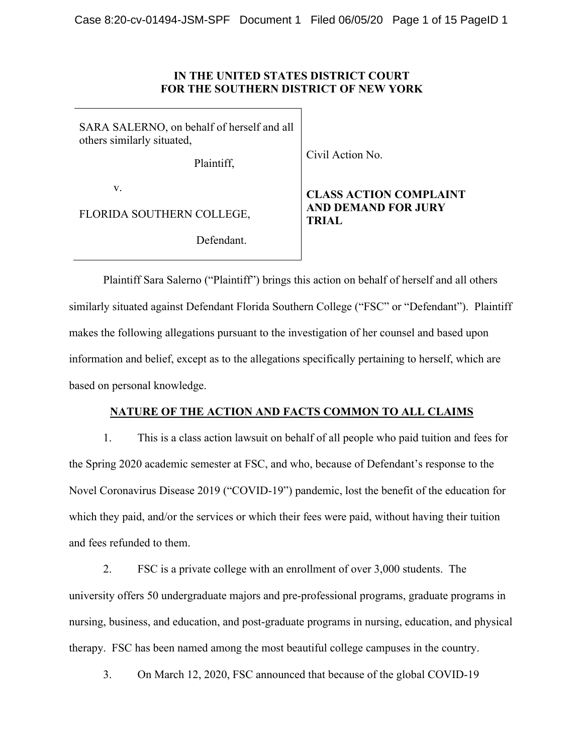# **IN THE UNITED STATES DISTRICT COURT FOR THE SOUTHERN DISTRICT OF NEW YORK**

SARA SALERNO, on behalf of herself and all others similarly situated,

Plaintiff,

Civil Action No.

v.

FLORIDA SOUTHERN COLLEGE,

Defendant.

# **CLASS ACTION COMPLAINT AND DEMAND FOR JURY TRIAL**

Plaintiff Sara Salerno ("Plaintiff") brings this action on behalf of herself and all others similarly situated against Defendant Florida Southern College ("FSC" or "Defendant"). Plaintiff makes the following allegations pursuant to the investigation of her counsel and based upon information and belief, except as to the allegations specifically pertaining to herself, which are based on personal knowledge.

# **NATURE OF THE ACTION AND FACTS COMMON TO ALL CLAIMS**

1. This is a class action lawsuit on behalf of all people who paid tuition and fees for the Spring 2020 academic semester at FSC, and who, because of Defendant's response to the Novel Coronavirus Disease 2019 ("COVID-19") pandemic, lost the benefit of the education for which they paid, and/or the services or which their fees were paid, without having their tuition and fees refunded to them.

2. FSC is a private college with an enrollment of over 3,000 students. The university offers 50 undergraduate majors and pre-professional programs, graduate programs in nursing, business, and education, and post-graduate programs in nursing, education, and physical therapy. FSC has been named among the most beautiful college campuses in the country.

3. On March 12, 2020, FSC announced that because of the global COVID-19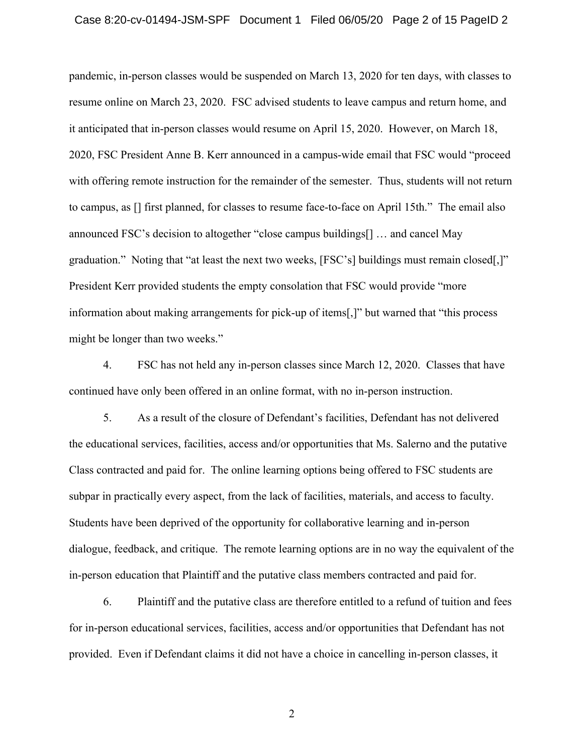pandemic, in-person classes would be suspended on March 13, 2020 for ten days, with classes to resume online on March 23, 2020. FSC advised students to leave campus and return home, and it anticipated that in-person classes would resume on April 15, 2020. However, on March 18, 2020, FSC President Anne B. Kerr announced in a campus-wide email that FSC would "proceed with offering remote instruction for the remainder of the semester. Thus, students will not return to campus, as [] first planned, for classes to resume face-to-face on April 15th." The email also announced FSC's decision to altogether "close campus buildings[] … and cancel May graduation." Noting that "at least the next two weeks, [FSC's] buildings must remain closed[,]" President Kerr provided students the empty consolation that FSC would provide "more information about making arrangements for pick-up of items[,]" but warned that "this process might be longer than two weeks."

4. FSC has not held any in-person classes since March 12, 2020. Classes that have continued have only been offered in an online format, with no in-person instruction.

5. As a result of the closure of Defendant's facilities, Defendant has not delivered the educational services, facilities, access and/or opportunities that Ms. Salerno and the putative Class contracted and paid for. The online learning options being offered to FSC students are subpar in practically every aspect, from the lack of facilities, materials, and access to faculty. Students have been deprived of the opportunity for collaborative learning and in-person dialogue, feedback, and critique. The remote learning options are in no way the equivalent of the in-person education that Plaintiff and the putative class members contracted and paid for.

6. Plaintiff and the putative class are therefore entitled to a refund of tuition and fees for in-person educational services, facilities, access and/or opportunities that Defendant has not provided. Even if Defendant claims it did not have a choice in cancelling in-person classes, it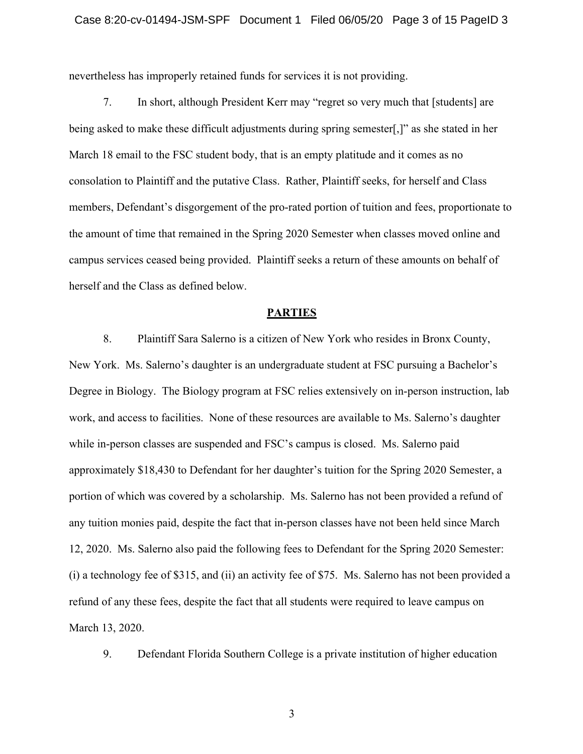nevertheless has improperly retained funds for services it is not providing.

7. In short, although President Kerr may "regret so very much that [students] are being asked to make these difficult adjustments during spring semester[,]" as she stated in her March 18 email to the FSC student body, that is an empty platitude and it comes as no consolation to Plaintiff and the putative Class. Rather, Plaintiff seeks, for herself and Class members, Defendant's disgorgement of the pro-rated portion of tuition and fees, proportionate to the amount of time that remained in the Spring 2020 Semester when classes moved online and campus services ceased being provided. Plaintiff seeks a return of these amounts on behalf of herself and the Class as defined below.

#### **PARTIES**

8. Plaintiff Sara Salerno is a citizen of New York who resides in Bronx County, New York. Ms. Salerno's daughter is an undergraduate student at FSC pursuing a Bachelor's Degree in Biology. The Biology program at FSC relies extensively on in-person instruction, lab work, and access to facilities. None of these resources are available to Ms. Salerno's daughter while in-person classes are suspended and FSC's campus is closed. Ms. Salerno paid approximately \$18,430 to Defendant for her daughter's tuition for the Spring 2020 Semester, a portion of which was covered by a scholarship. Ms. Salerno has not been provided a refund of any tuition monies paid, despite the fact that in-person classes have not been held since March 12, 2020. Ms. Salerno also paid the following fees to Defendant for the Spring 2020 Semester: (i) a technology fee of \$315, and (ii) an activity fee of \$75. Ms. Salerno has not been provided a refund of any these fees, despite the fact that all students were required to leave campus on March 13, 2020.

9. Defendant Florida Southern College is a private institution of higher education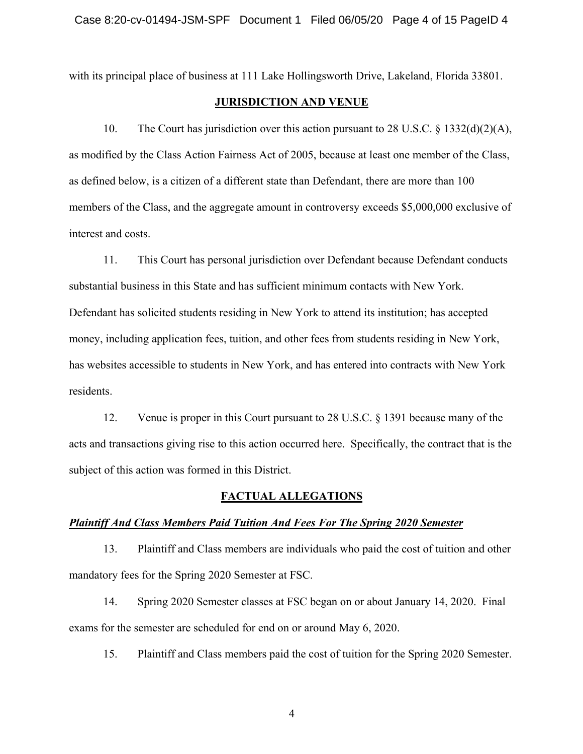with its principal place of business at 111 Lake Hollingsworth Drive, Lakeland, Florida 33801.

#### **JURISDICTION AND VENUE**

10. The Court has jurisdiction over this action pursuant to 28 U.S.C.  $\S$  1332(d)(2)(A), as modified by the Class Action Fairness Act of 2005, because at least one member of the Class, as defined below, is a citizen of a different state than Defendant, there are more than 100 members of the Class, and the aggregate amount in controversy exceeds \$5,000,000 exclusive of interest and costs.

11. This Court has personal jurisdiction over Defendant because Defendant conducts substantial business in this State and has sufficient minimum contacts with New York. Defendant has solicited students residing in New York to attend its institution; has accepted money, including application fees, tuition, and other fees from students residing in New York, has websites accessible to students in New York, and has entered into contracts with New York residents.

12. Venue is proper in this Court pursuant to 28 U.S.C. § 1391 because many of the acts and transactions giving rise to this action occurred here. Specifically, the contract that is the subject of this action was formed in this District.

## **FACTUAL ALLEGATIONS**

#### *Plaintiff And Class Members Paid Tuition And Fees For The Spring 2020 Semester*

13. Plaintiff and Class members are individuals who paid the cost of tuition and other mandatory fees for the Spring 2020 Semester at FSC.

14. Spring 2020 Semester classes at FSC began on or about January 14, 2020. Final exams for the semester are scheduled for end on or around May 6, 2020.

15. Plaintiff and Class members paid the cost of tuition for the Spring 2020 Semester.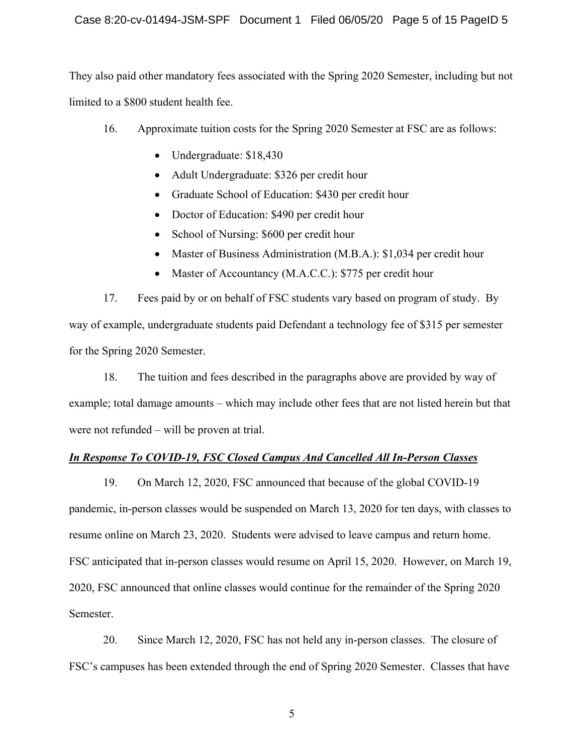They also paid other mandatory fees associated with the Spring 2020 Semester, including but not limited to a \$800 student health fee.

- 16. Approximate tuition costs for the Spring 2020 Semester at FSC are as follows:
	- Undergraduate: \$18,430
	- Adult Undergraduate: \$326 per credit hour
	- Graduate School of Education: \$430 per credit hour
	- Doctor of Education: \$490 per credit hour
	- School of Nursing: \$600 per credit hour
	- Master of Business Administration (M.B.A.): \$1,034 per credit hour
	- Master of Accountancy (M.A.C.C.): \$775 per credit hour

17. Fees paid by or on behalf of FSC students vary based on program of study. By way of example, undergraduate students paid Defendant a technology fee of \$315 per semester for the Spring 2020 Semester.

18. The tuition and fees described in the paragraphs above are provided by way of example; total damage amounts – which may include other fees that are not listed herein but that were not refunded – will be proven at trial.

# *In Response To COVID-19, FSC Closed Campus And Cancelled All In-Person Classes*

19. On March 12, 2020, FSC announced that because of the global COVID-19 pandemic, in-person classes would be suspended on March 13, 2020 for ten days, with classes to resume online on March 23, 2020. Students were advised to leave campus and return home. FSC anticipated that in-person classes would resume on April 15, 2020. However, on March 19, 2020, FSC announced that online classes would continue for the remainder of the Spring 2020 Semester.

20. Since March 12, 2020, FSC has not held any in-person classes. The closure of FSC's campuses has been extended through the end of Spring 2020 Semester. Classes that have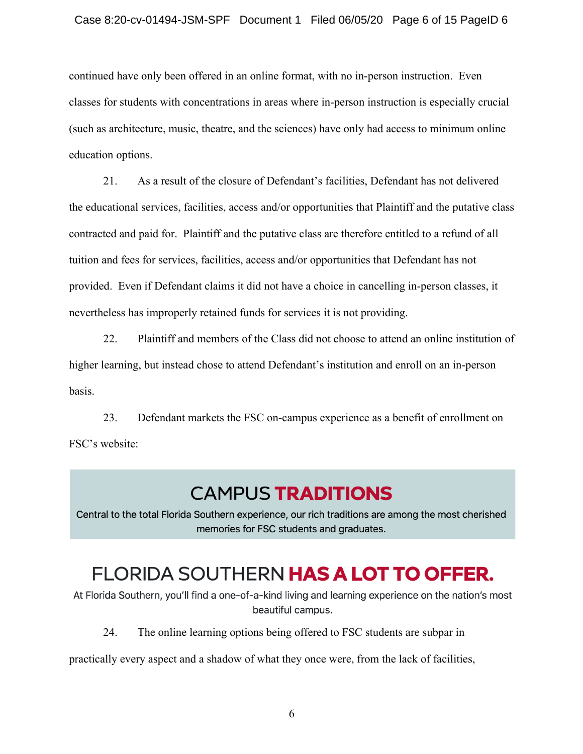continued have only been offered in an online format, with no in-person instruction. Even classes for students with concentrations in areas where in-person instruction is especially crucial (such as architecture, music, theatre, and the sciences) have only had access to minimum online education options.

21. As a result of the closure of Defendant's facilities, Defendant has not delivered the educational services, facilities, access and/or opportunities that Plaintiff and the putative class contracted and paid for. Plaintiff and the putative class are therefore entitled to a refund of all tuition and fees for services, facilities, access and/or opportunities that Defendant has not provided. Even if Defendant claims it did not have a choice in cancelling in-person classes, it nevertheless has improperly retained funds for services it is not providing.

22. Plaintiff and members of the Class did not choose to attend an online institution of higher learning, but instead chose to attend Defendant's institution and enroll on an in-person basis.

23. Defendant markets the FSC on-campus experience as a benefit of enrollment on FSC's website:

# **CAMPUS TRADITIONS**

Central to the total Florida Southern experience, our rich traditions are among the most cherished memories for FSC students and graduates.

# FLORIDA SOUTHERN HAS A LOT TO OFFER.

At Florida Southern, you'll find a one-of-a-kind living and learning experience on the nation's most beautiful campus.

24. The online learning options being offered to FSC students are subpar in

practically every aspect and a shadow of what they once were, from the lack of facilities,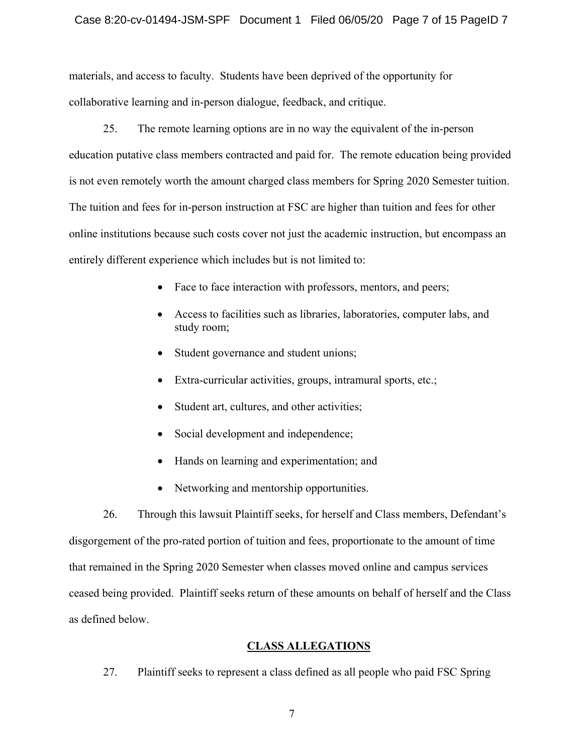#### Case 8:20-cv-01494-JSM-SPF Document 1 Filed 06/05/20 Page 7 of 15 PageID 7

materials, and access to faculty. Students have been deprived of the opportunity for collaborative learning and in-person dialogue, feedback, and critique.

25. The remote learning options are in no way the equivalent of the in-person education putative class members contracted and paid for. The remote education being provided is not even remotely worth the amount charged class members for Spring 2020 Semester tuition. The tuition and fees for in-person instruction at FSC are higher than tuition and fees for other online institutions because such costs cover not just the academic instruction, but encompass an entirely different experience which includes but is not limited to:

- Face to face interaction with professors, mentors, and peers;
- Access to facilities such as libraries, laboratories, computer labs, and study room;
- Student governance and student unions;
- Extra-curricular activities, groups, intramural sports, etc.;
- Student art, cultures, and other activities;
- Social development and independence;
- Hands on learning and experimentation; and
- Networking and mentorship opportunities.

26. Through this lawsuit Plaintiff seeks, for herself and Class members, Defendant's disgorgement of the pro-rated portion of tuition and fees, proportionate to the amount of time that remained in the Spring 2020 Semester when classes moved online and campus services ceased being provided. Plaintiff seeks return of these amounts on behalf of herself and the Class as defined below.

#### **CLASS ALLEGATIONS**

27. Plaintiff seeks to represent a class defined as all people who paid FSC Spring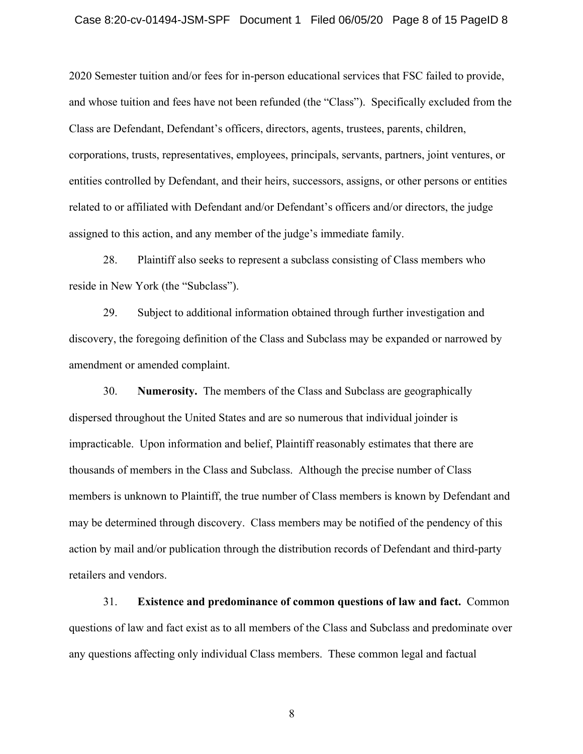#### Case 8:20-cv-01494-JSM-SPF Document 1 Filed 06/05/20 Page 8 of 15 PageID 8

2020 Semester tuition and/or fees for in-person educational services that FSC failed to provide, and whose tuition and fees have not been refunded (the "Class"). Specifically excluded from the Class are Defendant, Defendant's officers, directors, agents, trustees, parents, children, corporations, trusts, representatives, employees, principals, servants, partners, joint ventures, or entities controlled by Defendant, and their heirs, successors, assigns, or other persons or entities related to or affiliated with Defendant and/or Defendant's officers and/or directors, the judge assigned to this action, and any member of the judge's immediate family.

28. Plaintiff also seeks to represent a subclass consisting of Class members who reside in New York (the "Subclass").

29. Subject to additional information obtained through further investigation and discovery, the foregoing definition of the Class and Subclass may be expanded or narrowed by amendment or amended complaint.

30. **Numerosity.** The members of the Class and Subclass are geographically dispersed throughout the United States and are so numerous that individual joinder is impracticable. Upon information and belief, Plaintiff reasonably estimates that there are thousands of members in the Class and Subclass. Although the precise number of Class members is unknown to Plaintiff, the true number of Class members is known by Defendant and may be determined through discovery. Class members may be notified of the pendency of this action by mail and/or publication through the distribution records of Defendant and third-party retailers and vendors.

31. **Existence and predominance of common questions of law and fact.** Common questions of law and fact exist as to all members of the Class and Subclass and predominate over any questions affecting only individual Class members. These common legal and factual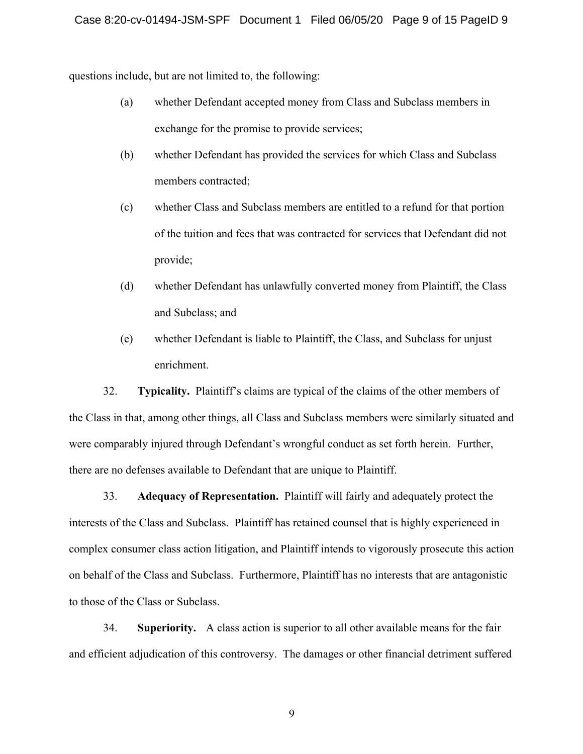questions include, but are not limited to, the following:

- (a) whether Defendant accepted money from Class and Subclass members in exchange for the promise to provide services;
- (b) whether Defendant has provided the services for which Class and Subclass members contracted;
- (c) whether Class and Subclass members are entitled to a refund for that portion of the tuition and fees that was contracted for services that Defendant did not provide;
- (d) whether Defendant has unlawfully converted money from Plaintiff, the Class and Subclass; and
- (e) whether Defendant is liable to Plaintiff, the Class, and Subclass for unjust enrichment.

32. **Typicality.** Plaintiff's claims are typical of the claims of the other members of the Class in that, among other things, all Class and Subclass members were similarly situated and were comparably injured through Defendant's wrongful conduct as set forth herein. Further, there are no defenses available to Defendant that are unique to Plaintiff.

33. **Adequacy of Representation.** Plaintiff will fairly and adequately protect the interests of the Class and Subclass. Plaintiff has retained counsel that is highly experienced in complex consumer class action litigation, and Plaintiff intends to vigorously prosecute this action on behalf of the Class and Subclass. Furthermore, Plaintiff has no interests that are antagonistic to those of the Class or Subclass.

34. **Superiority.** A class action is superior to all other available means for the fair and efficient adjudication of this controversy. The damages or other financial detriment suffered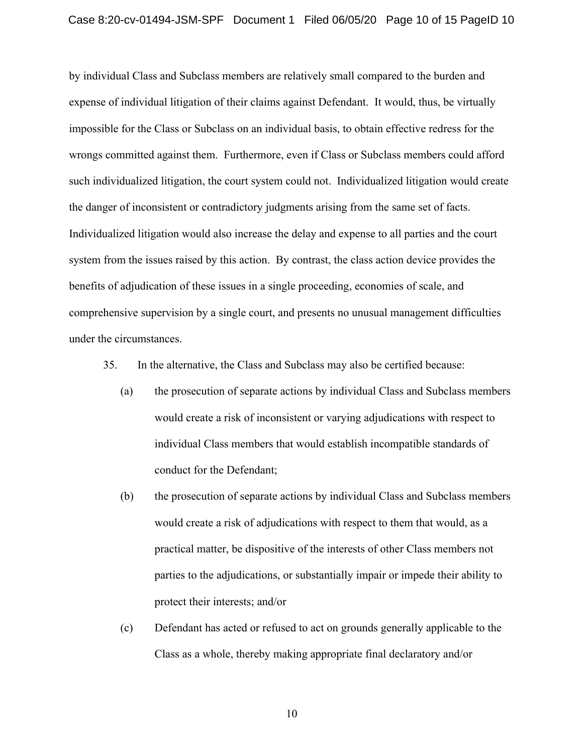by individual Class and Subclass members are relatively small compared to the burden and expense of individual litigation of their claims against Defendant. It would, thus, be virtually impossible for the Class or Subclass on an individual basis, to obtain effective redress for the wrongs committed against them. Furthermore, even if Class or Subclass members could afford such individualized litigation, the court system could not. Individualized litigation would create the danger of inconsistent or contradictory judgments arising from the same set of facts. Individualized litigation would also increase the delay and expense to all parties and the court system from the issues raised by this action. By contrast, the class action device provides the benefits of adjudication of these issues in a single proceeding, economies of scale, and comprehensive supervision by a single court, and presents no unusual management difficulties under the circumstances.

35. In the alternative, the Class and Subclass may also be certified because:

- (a) the prosecution of separate actions by individual Class and Subclass members would create a risk of inconsistent or varying adjudications with respect to individual Class members that would establish incompatible standards of conduct for the Defendant;
- (b) the prosecution of separate actions by individual Class and Subclass members would create a risk of adjudications with respect to them that would, as a practical matter, be dispositive of the interests of other Class members not parties to the adjudications, or substantially impair or impede their ability to protect their interests; and/or
- (c) Defendant has acted or refused to act on grounds generally applicable to the Class as a whole, thereby making appropriate final declaratory and/or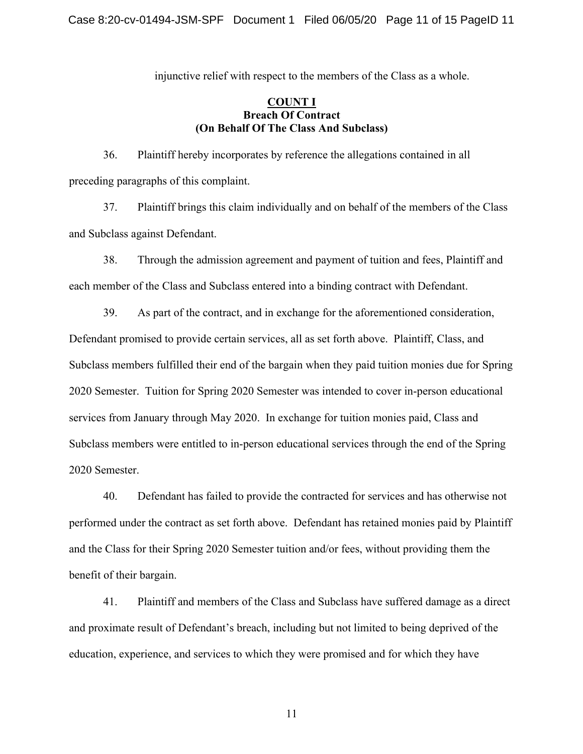injunctive relief with respect to the members of the Class as a whole.

## **COUNT I Breach Of Contract (On Behalf Of The Class And Subclass)**

36. Plaintiff hereby incorporates by reference the allegations contained in all preceding paragraphs of this complaint.

37. Plaintiff brings this claim individually and on behalf of the members of the Class and Subclass against Defendant.

38. Through the admission agreement and payment of tuition and fees, Plaintiff and each member of the Class and Subclass entered into a binding contract with Defendant.

39. As part of the contract, and in exchange for the aforementioned consideration, Defendant promised to provide certain services, all as set forth above. Plaintiff, Class, and Subclass members fulfilled their end of the bargain when they paid tuition monies due for Spring 2020 Semester. Tuition for Spring 2020 Semester was intended to cover in-person educational services from January through May 2020. In exchange for tuition monies paid, Class and Subclass members were entitled to in-person educational services through the end of the Spring 2020 Semester.

40. Defendant has failed to provide the contracted for services and has otherwise not performed under the contract as set forth above. Defendant has retained monies paid by Plaintiff and the Class for their Spring 2020 Semester tuition and/or fees, without providing them the benefit of their bargain.

41. Plaintiff and members of the Class and Subclass have suffered damage as a direct and proximate result of Defendant's breach, including but not limited to being deprived of the education, experience, and services to which they were promised and for which they have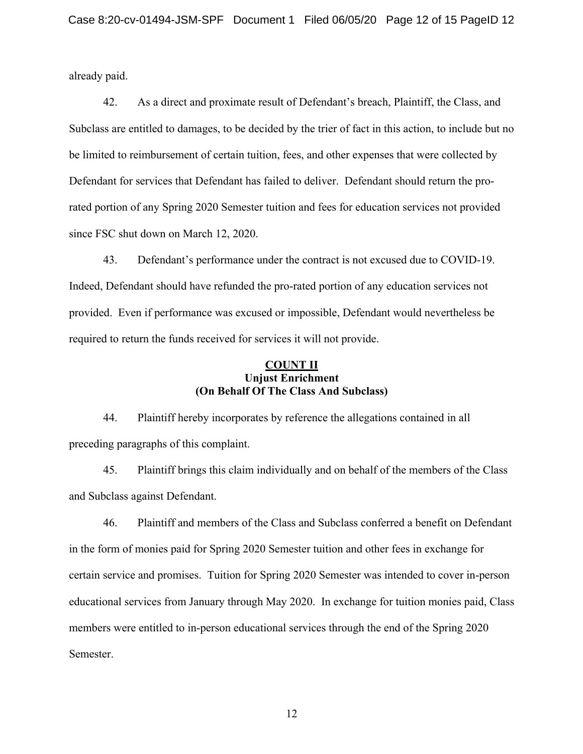already paid.

42. As a direct and proximate result of Defendant's breach, Plaintiff, the Class, and Subclass are entitled to damages, to be decided by the trier of fact in this action, to include but no be limited to reimbursement of certain tuition, fees, and other expenses that were collected by Defendant for services that Defendant has failed to deliver. Defendant should return the prorated portion of any Spring 2020 Semester tuition and fees for education services not provided since FSC shut down on March 12, 2020.

43. Defendant's performance under the contract is not excused due to COVID-19. Indeed, Defendant should have refunded the pro-rated portion of any education services not provided. Even if performance was excused or impossible, Defendant would nevertheless be required to return the funds received for services it will not provide.

## **COUNT II Unjust Enrichment (On Behalf Of The Class And Subclass)**

44. Plaintiff hereby incorporates by reference the allegations contained in all preceding paragraphs of this complaint.

45. Plaintiff brings this claim individually and on behalf of the members of the Class and Subclass against Defendant.

46. Plaintiff and members of the Class and Subclass conferred a benefit on Defendant in the form of monies paid for Spring 2020 Semester tuition and other fees in exchange for certain service and promises. Tuition for Spring 2020 Semester was intended to cover in-person educational services from January through May 2020. In exchange for tuition monies paid, Class members were entitled to in-person educational services through the end of the Spring 2020 Semester.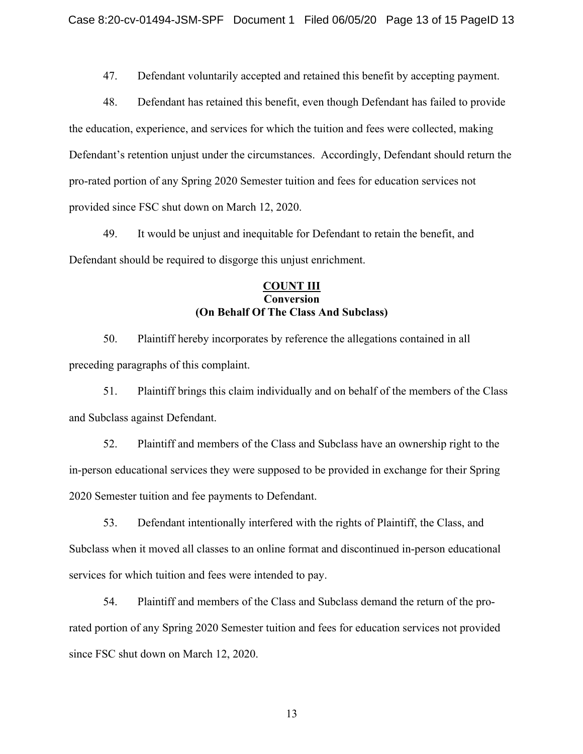47. Defendant voluntarily accepted and retained this benefit by accepting payment.

48. Defendant has retained this benefit, even though Defendant has failed to provide the education, experience, and services for which the tuition and fees were collected, making Defendant's retention unjust under the circumstances. Accordingly, Defendant should return the pro-rated portion of any Spring 2020 Semester tuition and fees for education services not provided since FSC shut down on March 12, 2020.

49. It would be unjust and inequitable for Defendant to retain the benefit, and Defendant should be required to disgorge this unjust enrichment.

# **COUNT III Conversion (On Behalf Of The Class And Subclass)**

50. Plaintiff hereby incorporates by reference the allegations contained in all preceding paragraphs of this complaint.

51. Plaintiff brings this claim individually and on behalf of the members of the Class and Subclass against Defendant.

52. Plaintiff and members of the Class and Subclass have an ownership right to the in-person educational services they were supposed to be provided in exchange for their Spring 2020 Semester tuition and fee payments to Defendant.

53. Defendant intentionally interfered with the rights of Plaintiff, the Class, and Subclass when it moved all classes to an online format and discontinued in-person educational services for which tuition and fees were intended to pay.

54. Plaintiff and members of the Class and Subclass demand the return of the prorated portion of any Spring 2020 Semester tuition and fees for education services not provided since FSC shut down on March 12, 2020.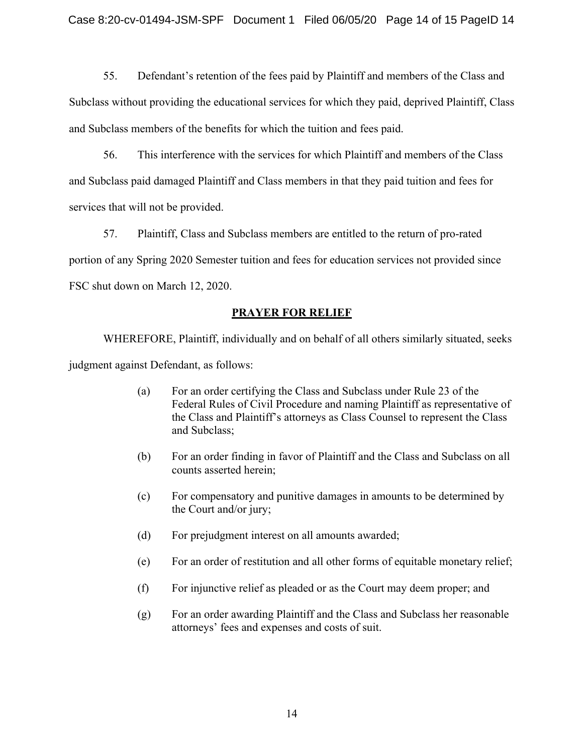55. Defendant's retention of the fees paid by Plaintiff and members of the Class and Subclass without providing the educational services for which they paid, deprived Plaintiff, Class and Subclass members of the benefits for which the tuition and fees paid.

56. This interference with the services for which Plaintiff and members of the Class and Subclass paid damaged Plaintiff and Class members in that they paid tuition and fees for services that will not be provided.

57. Plaintiff, Class and Subclass members are entitled to the return of pro-rated portion of any Spring 2020 Semester tuition and fees for education services not provided since FSC shut down on March 12, 2020.

# **PRAYER FOR RELIEF**

WHEREFORE, Plaintiff, individually and on behalf of all others similarly situated, seeks judgment against Defendant, as follows:

- (a) For an order certifying the Class and Subclass under Rule 23 of the Federal Rules of Civil Procedure and naming Plaintiff as representative of the Class and Plaintiff's attorneys as Class Counsel to represent the Class and Subclass;
- (b) For an order finding in favor of Plaintiff and the Class and Subclass on all counts asserted herein;
- (c) For compensatory and punitive damages in amounts to be determined by the Court and/or jury;
- (d) For prejudgment interest on all amounts awarded;
- (e) For an order of restitution and all other forms of equitable monetary relief;
- (f) For injunctive relief as pleaded or as the Court may deem proper; and
- (g) For an order awarding Plaintiff and the Class and Subclass her reasonable attorneys' fees and expenses and costs of suit.